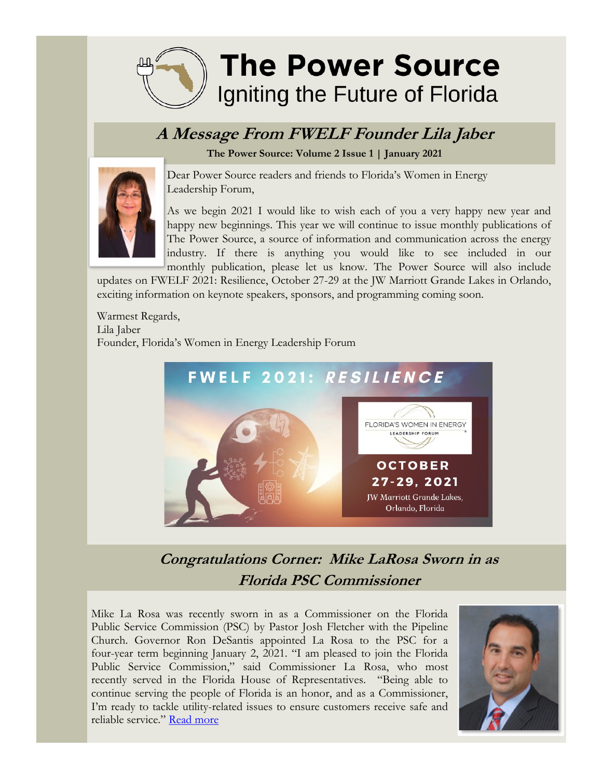

# **A Message From FWELF Founder Lila Jaber**

**The Power Source: Volume 2 Issue 1 | January 2021**



Dear Power Source readers and friends to Florida's Women in Energy Leadership Forum,

As we begin 2021 I would like to wish each of you a very happy new year and happy new beginnings. This year we will continue to issue monthly publications of The Power Source, a source of information and communication across the energy industry. If there is anything you would like to see included in our monthly publication, please let us know. The Power Source will also include

updates on FWELF 2021: Resilience, October 27-29 at the JW Marriott Grande Lakes in Orlando, exciting information on keynote speakers, sponsors, and programming coming soon.

Warmest Regards, Lila Jaber Founder, Florida's Women in Energy Leadership Forum



**Congratulations Corner: Mike LaRosa Sworn in as Florida PSC Commissioner**

Mike La Rosa was recently sworn in as a Commissioner on the Florida Public Service Commission (PSC) by Pastor Josh Fletcher with the Pipeline Church. Governor Ron DeSantis appointed La Rosa to the PSC for a four-year term beginning January 2, 2021. "I am pleased to join the Florida Public Service Commission," said Commissioner La Rosa, who most recently served in the Florida House of Representatives. "Being able to continue serving the people of Florida is an honor, and as a Commissioner, I'm ready to tackle utility-related issues to ensure customers receive safe and reliable service." [Read more](http://www.psc.state.fl.us/Home/NewsLink?id=11903)

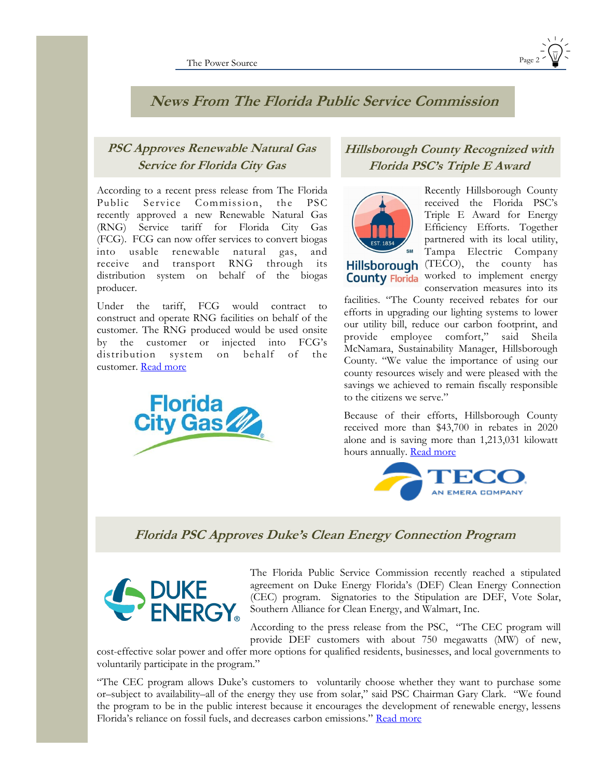

**News From The Florida Public Service Commission**

## **PSC Approves Renewable Natural Gas Service for Florida City Gas**

According to a recent press release from The Florida Public Service Commission, the PSC recently approved a new Renewable Natural Gas (RNG) Service tariff for Florida City Gas (FCG). FCG can now offer services to convert biogas into usable renewable natural gas, and receive and transport RNG through its distribution system on behalf of the biogas producer.

Under the tariff, FCG would contract to construct and operate RNG facilities on behalf of the customer. The RNG produced would be used onsite by the customer or injected into FCG's distribution system on behalf of the customer. [Read more](http://www.psc.state.fl.us/Home/NewsLink?id=11904)



#### **Hillsborough County Recognized with Florida PSC's Triple E Award**



Triple E Award for Energy Efficiency Efforts. Together partnered with its local utility, Tampa Electric Company Hillsborough (TECO), the county has County Florida worked to implement energy conservation measures into its

Recently Hillsborough County received the Florida PSC's

facilities. "The County received rebates for our efforts in upgrading our lighting systems to lower our utility bill, reduce our carbon footprint, and provide employee comfort," said Sheila McNamara, Sustainability Manager, Hillsborough County. "We value the importance of using our county resources wisely and were pleased with the savings we achieved to remain fiscally responsible to the citizens we serve."

Because of their efforts, Hillsborough County received more than \$43,700 in rebates in 2020 alone and is saving more than 1,213,031 kilowatt hours annually. [Read more](https://www.einnews.com/pr_news/533267828/hillsborough-county-recognized-with-florida-psc-s-triple-e-award)



### **Florida PSC Approves Duke's Clean Energy Connection Program**



The Florida Public Service Commission recently reached a stipulated agreement on Duke Energy Florida's (DEF) Clean Energy Connection (CEC) program. Signatories to the Stipulation are DEF, Vote Solar, Southern Alliance for Clean Energy, and Walmart, Inc.

According to the press release from the PSC, "The CEC program will provide DEF customers with about 750 megawatts (MW) of new,

cost-effective solar power and offer more options for qualified residents, businesses, and local governments to voluntarily participate in the program."

"The CEC program allows Duke's customers to voluntarily choose whether they want to purchase some or–subject to availability–all of the energy they use from solar," said PSC Chairman Gary Clark. "We found the program to be in the public interest because it encourages the development of renewable energy, lessens Florida's reliance on fossil fuels, and decreases carbon emissions." [Read more](http://floridapsc.com/Home/NewsLink?id=11905)